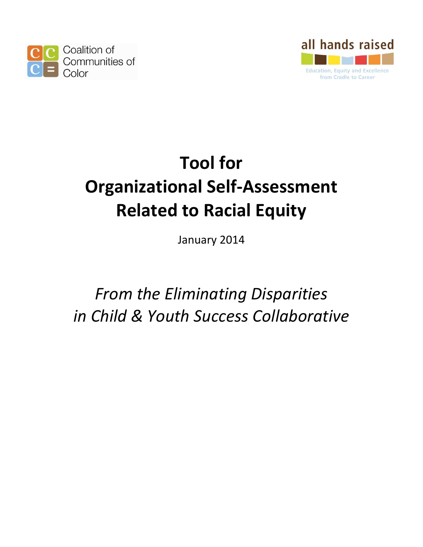



# **Tool for Organizational Self-Assessment Related to Racial Equity**

January 2014

*From the Eliminating Disparities in Child & Youth Success Collaborative*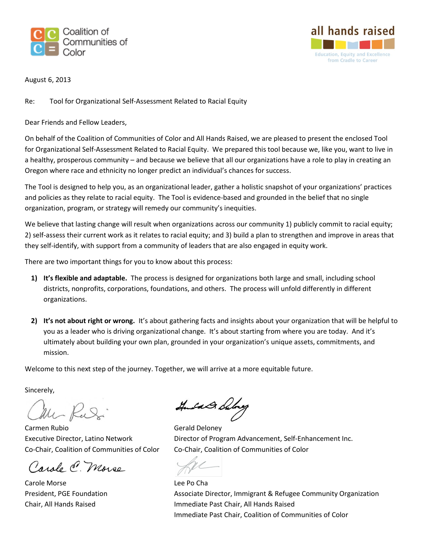



August 6, 2013

Re: Tool for Organizational Self-Assessment Related to Racial Equity

Dear Friends and Fellow Leaders,

On behalf of the Coalition of Communities of Color and All Hands Raised, we are pleased to present the enclosed Tool for Organizational Self-Assessment Related to Racial Equity. We prepared this tool because we, like you, want to live in a healthy, prosperous community – and because we believe that all our organizations have a role to play in creating an Oregon where race and ethnicity no longer predict an individual's chances for success.

The Tool is designed to help you, as an organizational leader, gather a holistic snapshot of your organizations' practices and policies as they relate to racial equity. The Tool is evidence-based and grounded in the belief that no single organization, program, or strategy will remedy our community's inequities.

We believe that lasting change will result when organizations across our community 1) publicly commit to racial equity; 2) self-assess their current work as it relates to racial equity; and 3) build a plan to strengthen and improve in areas that they self-identify, with support from a community of leaders that are also engaged in equity work.

There are two important things for you to know about this process:

- **1) It's flexible and adaptable.** The process is designed for organizations both large and small, including school districts, nonprofits, corporations, foundations, and others. The process will unfold differently in different organizations.
- **2) It's not about right or wrong.** It's about gathering facts and insights about your organization that will be helpful to you as a leader who is driving organizational change. It's about starting from where you are today. And it's ultimately about building your own plan, grounded in your organization's unique assets, commitments, and mission.

Welcome to this next step of the journey. Together, we will arrive at a more equitable future.

Sincerely,

Mr Rudi

Carmen Rubio **Gerald Deloney** 

Carole C. Morse

Carole Morse **Lee Po Cha** 

Hudd Along

Executive Director, Latino Network Director of Program Advancement, Self-Enhancement Inc. Co-Chair, Coalition of Communities of Color Co-Chair, Coalition of Communities of Color

President, PGE Foundation **Associate Director, Immigrant & Refugee Community Organization** Chair, All Hands Raised Immediate Past Chair, All Hands Raised Immediate Past Chair, Coalition of Communities of Color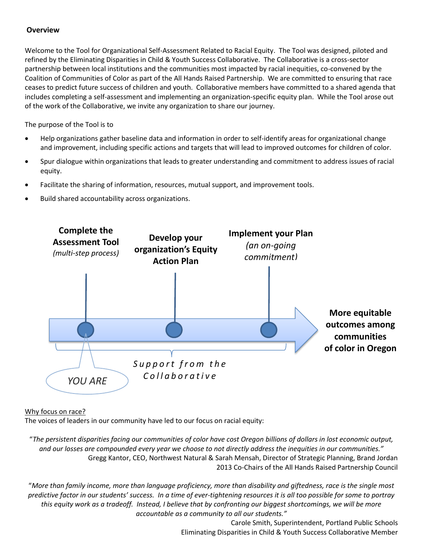#### **Overview**

Welcome to the Tool for Organizational Self-Assessment Related to Racial Equity. The Tool was designed, piloted and refined by the Eliminating Disparities in Child & Youth Success Collaborative. The Collaborative is a cross-sector partnership between local institutions and the communities most impacted by racial inequities, co-convened by the Coalition of Communities of Color as part of the All Hands Raised Partnership. We are committed to ensuring that race ceases to predict future success of children and youth. Collaborative members have committed to a shared agenda that includes completing a self-assessment and implementing an organization-specific equity plan. While the Tool arose out of the work of the Collaborative, we invite any organization to share our journey.

The purpose of the Tool is to

- Help organizations gather baseline data and information in order to self-identify areas for organizational change and improvement, including specific actions and targets that will lead to improved outcomes for children of color.
- Spur dialogue within organizations that leads to greater understanding and commitment to address issues of racial equity.
- Facilitate the sharing of information, resources, mutual support, and improvement tools.
- Build shared accountability across organizations.



#### Why focus on race?

The voices of leaders in our community have led to our focus on racial equity:

"*The persistent disparities facing our communities of color have cost Oregon billions of dollars in lost economic output, and our losses are compounded every year we choose to not directly address the inequities in our communities."* Gregg Kantor, CEO, Northwest Natural & Sarah Mensah, Director of Strategic Planning, Brand Jordan 2013 Co-Chairs of the All Hands Raised Partnership Council

"*More than family income, more than language proficiency, more than disability and giftedness, race is the single most predictive factor in our students' success. In a time of ever-tightening resources it is all too possible for some to portray this equity work as a tradeoff. Instead, I believe that by confronting our biggest shortcomings, we will be more accountable as a community to all our students."*

> Carole Smith, Superintendent, Portland Public Schools Eliminating Disparities in Child & Youth Success Collaborative Member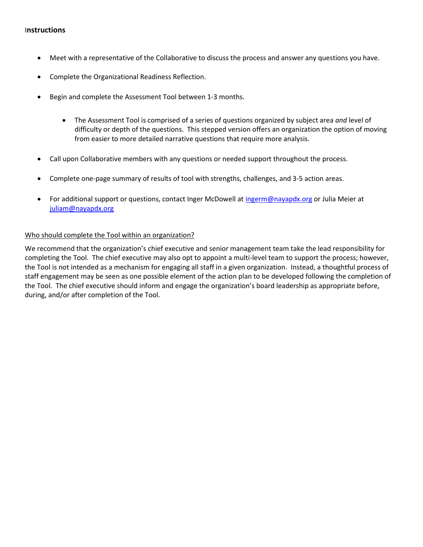#### I**nstructions**

- Meet with a representative of the Collaborative to discuss the process and answer any questions you have.
- Complete the Organizational Readiness Reflection.
- Begin and complete the Assessment Tool between 1-3 months.
	- The Assessment Tool is comprised of a series of questions organized by subject area *and* level of difficulty or depth of the questions. This stepped version offers an organization the option of moving from easier to more detailed narrative questions that require more analysis.
- Call upon Collaborative members with any questions or needed support throughout the process.
- Complete one-page summary of results of tool with strengths, challenges, and 3-5 action areas.
- For additional support or questions, contact Inger McDowell at [ingerm@nayapdx.org](mailto:ingerm@nayapdx.org) or Julia Meier at [juliam@nayapdx.org](mailto:juliam@nayapdx.org)

#### Who should complete the Tool within an organization?

We recommend that the organization's chief executive and senior management team take the lead responsibility for completing the Tool. The chief executive may also opt to appoint a multi-level team to support the process; however, the Tool is not intended as a mechanism for engaging all staff in a given organization. Instead, a thoughtful process of staff engagement may be seen as one possible element of the action plan to be developed following the completion of the Tool. The chief executive should inform and engage the organization's board leadership as appropriate before, during, and/or after completion of the Tool.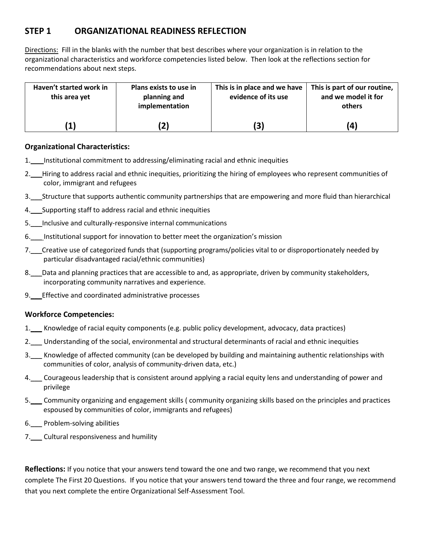# **STEP 1 ORGANIZATIONAL READINESS REFLECTION**

Directions: Fill in the blanks with the number that best describes where your organization is in relation to the organizational characteristics and workforce competencies listed below. Then look at the reflections section for recommendations about next steps.

| Haven't started work in<br>this area yet | Plans exists to use in<br>planning and<br>implementation | This is in place and we have<br>evidence of its use | This is part of our routine,<br>and we model it for<br>others |
|------------------------------------------|----------------------------------------------------------|-----------------------------------------------------|---------------------------------------------------------------|
|                                          |                                                          |                                                     | 4                                                             |

#### **Organizational Characteristics:**

- 1. Institutional commitment to addressing/eliminating racial and ethnic inequities
- 2. Hiring to address racial and ethnic inequities, prioritizing the hiring of employees who represent communities of color, immigrant and refugees
- 3.\_\_\_Structure that supports authentic community partnerships that are empowering and more fluid than hierarchical
- 4. Supporting staff to address racial and ethnic inequities
- 5.\_\_\_Inclusive and culturally-responsive internal communications
- 6.\_\_\_ Institutional support for innovation to better meet the organization's mission
- 7.\_\_\_Creative use of categorized funds that (supporting programs/policies vital to or disproportionately needed by particular disadvantaged racial/ethnic communities)
- 8. Data and planning practices that are accessible to and, as appropriate, driven by community stakeholders, incorporating community narratives and experience.
- 9. Effective and coordinated administrative processes

#### **Workforce Competencies:**

- 1.\_\_\_ Knowledge of racial equity components (e.g. public policy development, advocacy, data practices)
- 2.\_\_\_ Understanding of the social, environmental and structural determinants of racial and ethnic inequities
- 3.\_\_\_ Knowledge of affected community (can be developed by building and maintaining authentic relationships with communities of color, analysis of community-driven data, etc.)
- 4. Courageous leadership that is consistent around applying a racial equity lens and understanding of power and privilege
- 5.\_\_\_ Community organizing and engagement skills ( community organizing skills based on the principles and practices espoused by communities of color, immigrants and refugees)
- 6.\_\_\_ Problem-solving abilities
- 7.\_\_\_ Cultural responsiveness and humility

**Reflections:** If you notice that your answers tend toward the one and two range, we recommend that you next complete The First 20 Questions. If you notice that your answers tend toward the three and four range, we recommend that you next complete the entire Organizational Self-Assessment Tool.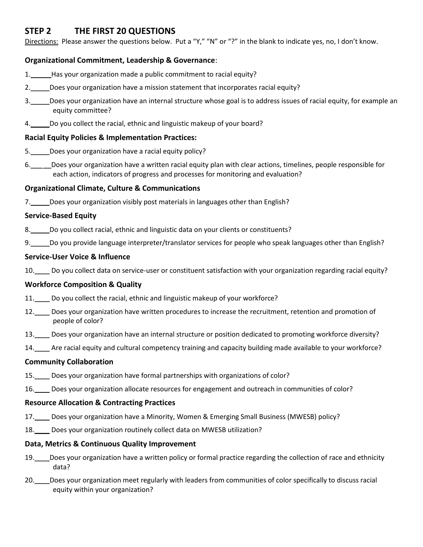# **STEP 2 THE FIRST 20 QUESTIONS**

Directions: Please answer the questions below. Put a "Y," "N" or "?" in the blank to indicate yes, no, I don't know.

#### **Organizational Commitment, Leadership & Governance**:

- 1. Has your organization made a public commitment to racial equity?
- 2. Does your organization have a mission statement that incorporates racial equity?
- 3.\_\_\_\_\_Does your organization have an internal structure whose goal is to address issues of racial equity, for example an equity committee?
- 4.\_\_\_\_\_Do you collect the racial, ethnic and linguistic makeup of your board?

#### **Racial Equity Policies & Implementation Practices:**

- 5.\_\_\_\_\_Does your organization have a racial equity policy?
- 6.\_\_\_ \_\_Does your organization have a written racial equity plan with clear actions, timelines, people responsible for each action, indicators of progress and processes for monitoring and evaluation?

#### **Organizational Climate, Culture & Communications**

7. Does your organization visibly post materials in languages other than English?

#### **Service-Based Equity**

- 8. Do you collect racial, ethnic and linguistic data on your clients or constituents?
- 9.\_\_\_\_\_Do you provide language interpreter/translator services for people who speak languages other than English?

#### **Service-User Voice & Influence**

10. Do you collect data on service-user or constituent satisfaction with your organization regarding racial equity?

#### **Workforce Composition & Quality**

- 11. Do you collect the racial, ethnic and linguistic makeup of your workforce?
- 12. Does your organization have written procedures to increase the recruitment, retention and promotion of people of color?
- 13. Does your organization have an internal structure or position dedicated to promoting workforce diversity?
- 14. Are racial equity and cultural competency training and capacity building made available to your workforce?

#### **Community Collaboration**

- 15.\_\_\_\_ Does your organization have formal partnerships with organizations of color?
- 16. Does your organization allocate resources for engagement and outreach in communities of color?

#### **Resource Allocation & Contracting Practices**

- 17. Does your organization have a Minority, Women & Emerging Small Business (MWESB) policy?
- 18. Does your organization routinely collect data on MWESB utilization?

#### **Data, Metrics & Continuous Quality Improvement**

- 19. Does your organization have a written policy or formal practice regarding the collection of race and ethnicity data?
- 20.\_\_\_\_Does your organization meet regularly with leaders from communities of color specifically to discuss racial equity within your organization?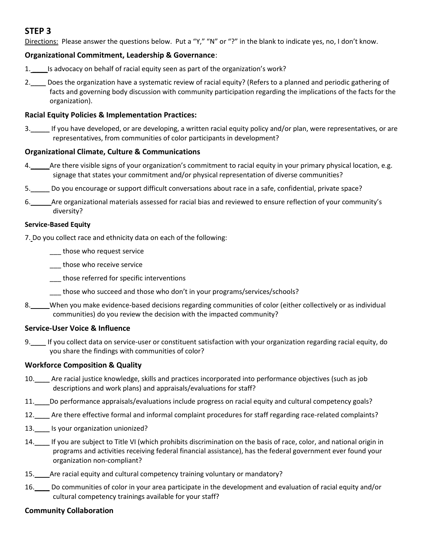# **STEP 3**

Directions: Please answer the questions below. Put a "Y," "N" or "?" in the blank to indicate yes, no, I don't know.

#### **Organizational Commitment, Leadership & Governance**:

- 1. \_\_\_\_Is advocacy on behalf of racial equity seen as part of the organization's work?
- 2. Does the organization have a systematic review of racial equity? (Refers to a planned and periodic gathering of facts and governing body discussion with community participation regarding the implications of the facts for the organization).

#### **Racial Equity Policies & Implementation Practices:**

3.\_\_\_\_\_ If you have developed, or are developing, a written racial equity policy and/or plan, were representatives, or are representatives, from communities of color participants in development?

#### **Organizational Climate, Culture & Communications**

- 4. Are there visible signs of your organization's commitment to racial equity in your primary physical location, e.g. signage that states your commitment and/or physical representation of diverse communities?
- 5.\_\_\_\_\_ Do you encourage or support difficult conversations about race in a safe, confidential, private space?
- 6.\_\_\_\_\_ Are organizational materials assessed for racial bias and reviewed to ensure reflection of your community's diversity?

#### **Service-Based Equity**

7. Do you collect race and ethnicity data on each of the following:

- \_\_\_ those who request service
- \_\_\_ those who receive service
- \_\_\_ those referred for specific interventions
- \_\_\_ those who succeed and those who don't in your programs/services/schools?
- 8. When you make evidence-based decisions regarding communities of color (either collectively or as individual communities) do you review the decision with the impacted community?

#### **Service-User Voice & Influence**

9.\_\_\_\_ If you collect data on service-user or constituent satisfaction with your organization regarding racial equity, do you share the findings with communities of color?

#### **Workforce Composition & Quality**

- 10. Are racial justice knowledge, skills and practices incorporated into performance objectives (such as job descriptions and work plans) and appraisals/evaluations for staff?
- 11.\_\_\_\_Do performance appraisals/evaluations include progress on racial equity and cultural competency goals?
- 12. Are there effective formal and informal complaint procedures for staff regarding race-related complaints?
- 13.\_\_\_\_ Is your organization unionized?
- 14. If you are subject to Title VI (which prohibits discrimination on the basis of race, color, and national origin in programs and activities receiving federal financial assistance), has the federal government ever found your organization non-compliant?
- 15. Are racial equity and cultural competency training voluntary or mandatory?
- 16.\_\_\_\_ Do communities of color in your area participate in the development and evaluation of racial equity and/or cultural competency trainings available for your staff?

#### **Community Collaboration**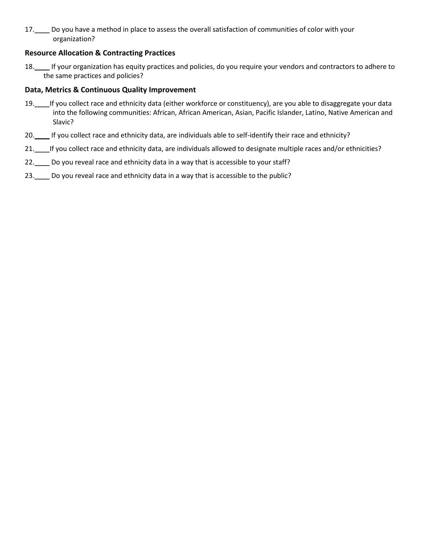17.\_\_\_\_ Do you have a method in place to assess the overall satisfaction of communities of color with your organization?

#### **Resource Allocation & Contracting Practices**

18.\_\_\_\_ If your organization has equity practices and policies, do you require your vendors and contractors to adhere to the same practices and policies?

#### **Data, Metrics & Continuous Quality Improvement**

- 19. If you collect race and ethnicity data (either workforce or constituency), are you able to disaggregate your data into the following communities: African, African American, Asian, Pacific Islander, Latino, Native American and Slavic?
- 20. Fyou collect race and ethnicity data, are individuals able to self-identify their race and ethnicity?
- 21. Fyou collect race and ethnicity data, are individuals allowed to designate multiple races and/or ethnicities?
- 22.\_\_\_ Do you reveal race and ethnicity data in a way that is accessible to your staff?
- 23. Do you reveal race and ethnicity data in a way that is accessible to the public?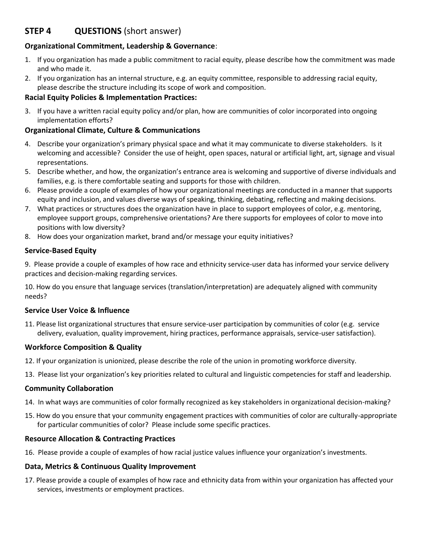# **STEP 4 QUESTIONS** (short answer)

#### **Organizational Commitment, Leadership & Governance**:

- 1. If you organization has made a public commitment to racial equity, please describe how the commitment was made and who made it.
- 2. If you organization has an internal structure, e.g. an equity committee, responsible to addressing racial equity, please describe the structure including its scope of work and composition.

#### **Racial Equity Policies & Implementation Practices:**

3. If you have a written racial equity policy and/or plan, how are communities of color incorporated into ongoing implementation efforts?

#### **Organizational Climate, Culture & Communications**

- 4. Describe your organization's primary physical space and what it may communicate to diverse stakeholders. Is it welcoming and accessible? Consider the use of height, open spaces, natural or artificial light, art, signage and visual representations.
- 5. Describe whether, and how, the organization's entrance area is welcoming and supportive of diverse individuals and families, e.g. is there comfortable seating and supports for those with children.
- 6. Please provide a couple of examples of how your organizational meetings are conducted in a manner that supports equity and inclusion, and values diverse ways of speaking, thinking, debating, reflecting and making decisions.
- 7. What practices or structures does the organization have in place to support employees of color, e.g. mentoring, employee support groups, comprehensive orientations? Are there supports for employees of color to move into positions with low diversity?
- 8. How does your organization market, brand and/or message your equity initiatives?

#### **Service-Based Equity**

9. Please provide a couple of examples of how race and ethnicity service-user data has informed your service delivery practices and decision-making regarding services.

10. How do you ensure that language services (translation/interpretation) are adequately aligned with community needs?

#### **Service User Voice & Influence**

11. Please list organizational structures that ensure service-user participation by communities of color (e.g. service delivery, evaluation, quality improvement, hiring practices, performance appraisals, service-user satisfaction).

#### **Workforce Composition & Quality**

- 12. If your organization is unionized, please describe the role of the union in promoting workforce diversity.
- 13. Please list your organization's key priorities related to cultural and linguistic competencies for staff and leadership.

#### **Community Collaboration**

- 14. In what ways are communities of color formally recognized as key stakeholders in organizational decision-making?
- 15. How do you ensure that your community engagement practices with communities of color are culturally-appropriate for particular communities of color? Please include some specific practices.

#### **Resource Allocation & Contracting Practices**

16. Please provide a couple of examples of how racial justice values influence your organization's investments.

#### **Data, Metrics & Continuous Quality Improvement**

17. Please provide a couple of examples of how race and ethnicity data from within your organization has affected your services, investments or employment practices.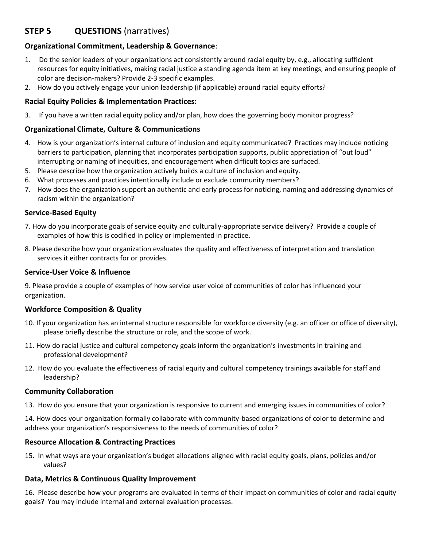# **STEP 5 QUESTIONS** (narratives)

#### **Organizational Commitment, Leadership & Governance**:

- 1. Do the senior leaders of your organizations act consistently around racial equity by, e.g., allocating sufficient resources for equity initiatives, making racial justice a standing agenda item at key meetings, and ensuring people of color are decision-makers? Provide 2-3 specific examples.
- 2. How do you actively engage your union leadership (if applicable) around racial equity efforts?

#### **Racial Equity Policies & Implementation Practices:**

3. If you have a written racial equity policy and/or plan, how does the governing body monitor progress?

#### **Organizational Climate, Culture & Communications**

- 4. How is your organization's internal culture of inclusion and equity communicated? Practices may include noticing barriers to participation, planning that incorporates participation supports, public appreciation of "out loud" interrupting or naming of inequities, and encouragement when difficult topics are surfaced.
- 5. Please describe how the organization actively builds a culture of inclusion and equity.
- 6. What processes and practices intentionally include or exclude community members?
- 7. How does the organization support an authentic and early process for noticing, naming and addressing dynamics of racism within the organization?

#### **Service-Based Equity**

- 7. How do you incorporate goals of service equity and culturally-appropriate service delivery? Provide a couple of examples of how this is codified in policy or implemented in practice.
- 8. Please describe how your organization evaluates the quality and effectiveness of interpretation and translation services it either contracts for or provides.

#### **Service-User Voice & Influence**

9. Please provide a couple of examples of how service user voice of communities of color has influenced your organization.

#### **Workforce Composition & Quality**

- 10. If your organization has an internal structure responsible for workforce diversity (e.g. an officer or office of diversity), please briefly describe the structure or role, and the scope of work.
- 11. How do racial justice and cultural competency goals inform the organization's investments in training and professional development?
- 12. How do you evaluate the effectiveness of racial equity and cultural competency trainings available for staff and leadership?

#### **Community Collaboration**

13. How do you ensure that your organization is responsive to current and emerging issues in communities of color?

14. How does your organization formally collaborate with community-based organizations of color to determine and address your organization's responsiveness to the needs of communities of color?

#### **Resource Allocation & Contracting Practices**

15. In what ways are your organization's budget allocations aligned with racial equity goals, plans, policies and/or values?

#### **Data, Metrics & Continuous Quality Improvement**

16. Please describe how your programs are evaluated in terms of their impact on communities of color and racial equity goals? You may include internal and external evaluation processes.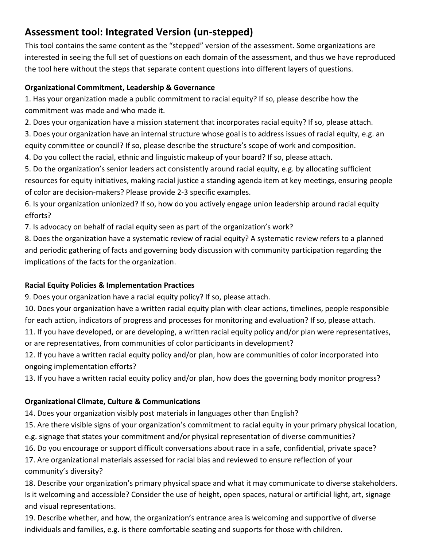# **Assessment tool: Integrated Version (un-stepped)**

This tool contains the same content as the "stepped" version of the assessment. Some organizations are interested in seeing the full set of questions on each domain of the assessment, and thus we have reproduced the tool here without the steps that separate content questions into different layers of questions.

# **Organizational Commitment, Leadership & Governance**

1. Has your organization made a public commitment to racial equity? If so, please describe how the commitment was made and who made it.

2. Does your organization have a mission statement that incorporates racial equity? If so, please attach.

3. Does your organization have an internal structure whose goal is to address issues of racial equity, e.g. an equity committee or council? If so, please describe the structure's scope of work and composition.

4. Do you collect the racial, ethnic and linguistic makeup of your board? If so, please attach.

5. Do the organization's senior leaders act consistently around racial equity, e.g. by allocating sufficient resources for equity initiatives, making racial justice a standing agenda item at key meetings, ensuring people of color are decision-makers? Please provide 2-3 specific examples.

6. Is your organization unionized? If so, how do you actively engage union leadership around racial equity efforts?

7. Is advocacy on behalf of racial equity seen as part of the organization's work?

8. Does the organization have a systematic review of racial equity? A systematic review refers to a planned and periodic gathering of facts and governing body discussion with community participation regarding the implications of the facts for the organization.

# **Racial Equity Policies & Implementation Practices**

9. Does your organization have a racial equity policy? If so, please attach.

10. Does your organization have a written racial equity plan with clear actions, timelines, people responsible for each action, indicators of progress and processes for monitoring and evaluation? If so, please attach.

11. If you have developed, or are developing, a written racial equity policy and/or plan were representatives, or are representatives, from communities of color participants in development?

12. If you have a written racial equity policy and/or plan, how are communities of color incorporated into ongoing implementation efforts?

13. If you have a written racial equity policy and/or plan, how does the governing body monitor progress?

# **Organizational Climate, Culture & Communications**

14. Does your organization visibly post materials in languages other than English?

15. Are there visible signs of your organization's commitment to racial equity in your primary physical location,

e.g. signage that states your commitment and/or physical representation of diverse communities?

16. Do you encourage or support difficult conversations about race in a safe, confidential, private space?

17. Are organizational materials assessed for racial bias and reviewed to ensure reflection of your community's diversity?

18. Describe your organization's primary physical space and what it may communicate to diverse stakeholders. Is it welcoming and accessible? Consider the use of height, open spaces, natural or artificial light, art, signage and visual representations.

19. Describe whether, and how, the organization's entrance area is welcoming and supportive of diverse individuals and families, e.g. is there comfortable seating and supports for those with children.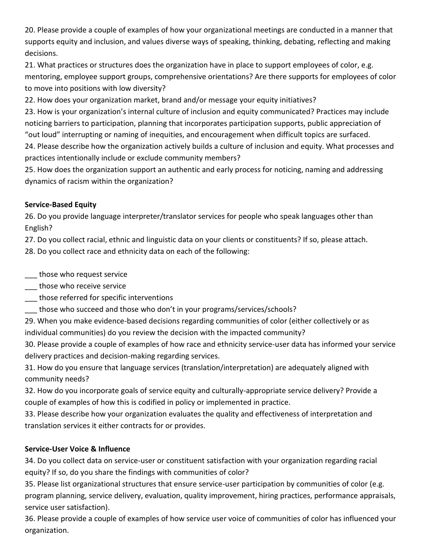20. Please provide a couple of examples of how your organizational meetings are conducted in a manner that supports equity and inclusion, and values diverse ways of speaking, thinking, debating, reflecting and making decisions.

21. What practices or structures does the organization have in place to support employees of color, e.g. mentoring, employee support groups, comprehensive orientations? Are there supports for employees of color to move into positions with low diversity?

22. How does your organization market, brand and/or message your equity initiatives?

23. How is your organization's internal culture of inclusion and equity communicated? Practices may include noticing barriers to participation, planning that incorporates participation supports, public appreciation of "out loud" interrupting or naming of inequities, and encouragement when difficult topics are surfaced.

24. Please describe how the organization actively builds a culture of inclusion and equity. What processes and practices intentionally include or exclude community members?

25. How does the organization support an authentic and early process for noticing, naming and addressing dynamics of racism within the organization?

#### **Service-Based Equity**

26. Do you provide language interpreter/translator services for people who speak languages other than English?

27. Do you collect racial, ethnic and linguistic data on your clients or constituents? If so, please attach.

28. Do you collect race and ethnicity data on each of the following:

- \_\_\_ those who request service
- \_\_\_ those who receive service
- \_\_\_ those referred for specific interventions
- \_\_\_ those who succeed and those who don't in your programs/services/schools?

29. When you make evidence-based decisions regarding communities of color (either collectively or as individual communities) do you review the decision with the impacted community?

30. Please provide a couple of examples of how race and ethnicity service-user data has informed your service delivery practices and decision-making regarding services.

31. How do you ensure that language services (translation/interpretation) are adequately aligned with community needs?

32. How do you incorporate goals of service equity and culturally-appropriate service delivery? Provide a couple of examples of how this is codified in policy or implemented in practice.

33. Please describe how your organization evaluates the quality and effectiveness of interpretation and translation services it either contracts for or provides.

#### **Service-User Voice & Influence**

34. Do you collect data on service-user or constituent satisfaction with your organization regarding racial equity? If so, do you share the findings with communities of color?

35. Please list organizational structures that ensure service-user participation by communities of color (e.g. program planning, service delivery, evaluation, quality improvement, hiring practices, performance appraisals, service user satisfaction).

36. Please provide a couple of examples of how service user voice of communities of color has influenced your organization.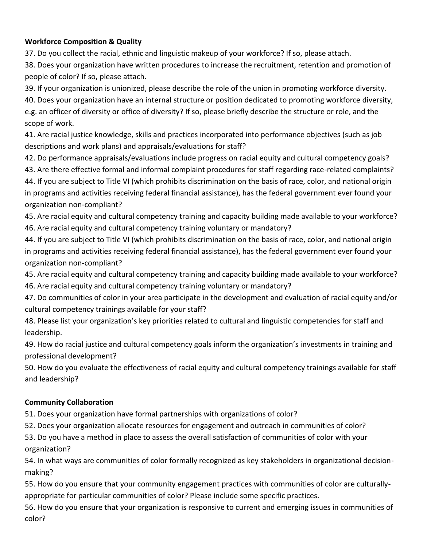# **Workforce Composition & Quality**

37. Do you collect the racial, ethnic and linguistic makeup of your workforce? If so, please attach.

38. Does your organization have written procedures to increase the recruitment, retention and promotion of people of color? If so, please attach.

39. If your organization is unionized, please describe the role of the union in promoting workforce diversity.

40. Does your organization have an internal structure or position dedicated to promoting workforce diversity, e.g. an officer of diversity or office of diversity? If so, please briefly describe the structure or role, and the scope of work.

41. Are racial justice knowledge, skills and practices incorporated into performance objectives (such as job descriptions and work plans) and appraisals/evaluations for staff?

42. Do performance appraisals/evaluations include progress on racial equity and cultural competency goals?

43. Are there effective formal and informal complaint procedures for staff regarding race-related complaints? 44. If you are subject to Title VI (which prohibits discrimination on the basis of race, color, and national origin in programs and activities receiving federal financial assistance), has the federal government ever found your organization non-compliant?

45. Are racial equity and cultural competency training and capacity building made available to your workforce? 46. Are racial equity and cultural competency training voluntary or mandatory?

44. If you are subject to Title VI (which prohibits discrimination on the basis of race, color, and national origin in programs and activities receiving federal financial assistance), has the federal government ever found your organization non-compliant?

45. Are racial equity and cultural competency training and capacity building made available to your workforce? 46. Are racial equity and cultural competency training voluntary or mandatory?

47. Do communities of color in your area participate in the development and evaluation of racial equity and/or cultural competency trainings available for your staff?

48. Please list your organization's key priorities related to cultural and linguistic competencies for staff and leadership.

49. How do racial justice and cultural competency goals inform the organization's investments in training and professional development?

50. How do you evaluate the effectiveness of racial equity and cultural competency trainings available for staff and leadership?

# **Community Collaboration**

51. Does your organization have formal partnerships with organizations of color?

52. Does your organization allocate resources for engagement and outreach in communities of color?

53. Do you have a method in place to assess the overall satisfaction of communities of color with your organization?

54. In what ways are communities of color formally recognized as key stakeholders in organizational decisionmaking?

55. How do you ensure that your community engagement practices with communities of color are culturallyappropriate for particular communities of color? Please include some specific practices.

56. How do you ensure that your organization is responsive to current and emerging issues in communities of color?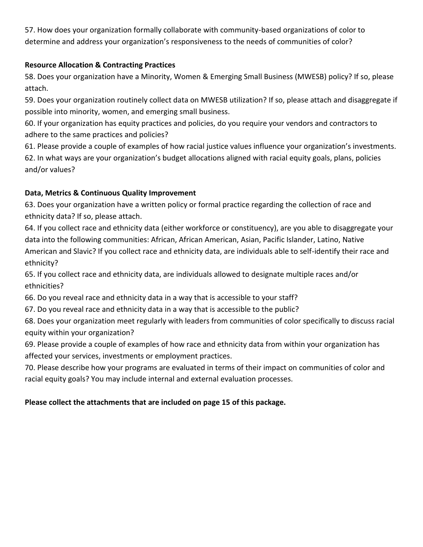57. How does your organization formally collaborate with community-based organizations of color to determine and address your organization's responsiveness to the needs of communities of color?

## **Resource Allocation & Contracting Practices**

58. Does your organization have a Minority, Women & Emerging Small Business (MWESB) policy? If so, please attach.

59. Does your organization routinely collect data on MWESB utilization? If so, please attach and disaggregate if possible into minority, women, and emerging small business.

60. If your organization has equity practices and policies, do you require your vendors and contractors to adhere to the same practices and policies?

61. Please provide a couple of examples of how racial justice values influence your organization's investments. 62. In what ways are your organization's budget allocations aligned with racial equity goals, plans, policies and/or values?

#### **Data, Metrics & Continuous Quality Improvement**

63. Does your organization have a written policy or formal practice regarding the collection of race and ethnicity data? If so, please attach.

64. If you collect race and ethnicity data (either workforce or constituency), are you able to disaggregate your data into the following communities: African, African American, Asian, Pacific Islander, Latino, Native American and Slavic? If you collect race and ethnicity data, are individuals able to self-identify their race and ethnicity?

65. If you collect race and ethnicity data, are individuals allowed to designate multiple races and/or ethnicities?

66. Do you reveal race and ethnicity data in a way that is accessible to your staff?

67. Do you reveal race and ethnicity data in a way that is accessible to the public?

68. Does your organization meet regularly with leaders from communities of color specifically to discuss racial equity within your organization?

69. Please provide a couple of examples of how race and ethnicity data from within your organization has affected your services, investments or employment practices.

70. Please describe how your programs are evaluated in terms of their impact on communities of color and racial equity goals? You may include internal and external evaluation processes.

# **Please collect the attachments that are included on page 15 of this package.**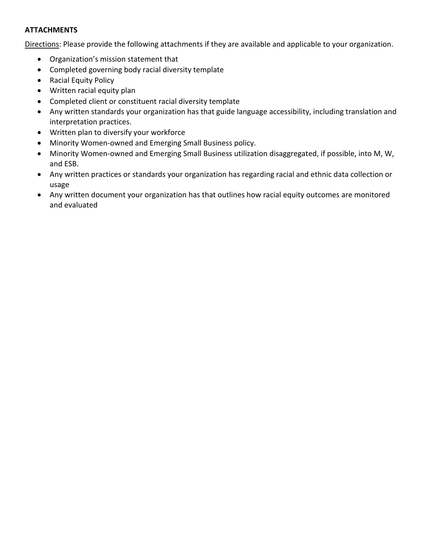#### **ATTACHMENTS**

Directions: Please provide the following attachments if they are available and applicable to your organization.

- Organization's mission statement that
- Completed governing body racial diversity template
- Racial Equity Policy
- Written racial equity plan
- Completed client or constituent racial diversity template
- Any written standards your organization has that guide language accessibility, including translation and interpretation practices.
- Written plan to diversify your workforce
- Minority Women-owned and Emerging Small Business policy.
- Minority Women-owned and Emerging Small Business utilization disaggregated, if possible, into M, W, and ESB.
- Any written practices or standards your organization has regarding racial and ethnic data collection or usage
- Any written document your organization has that outlines how racial equity outcomes are monitored and evaluated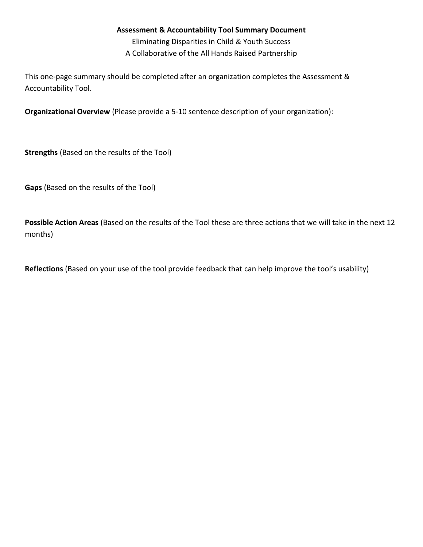#### **Assessment & Accountability Tool Summary Document**

Eliminating Disparities in Child & Youth Success A Collaborative of the All Hands Raised Partnership

This one-page summary should be completed after an organization completes the Assessment & Accountability Tool.

**Organizational Overview** (Please provide a 5-10 sentence description of your organization):

**Strengths** (Based on the results of the Tool)

**Gaps** (Based on the results of the Tool)

**Possible Action Areas** (Based on the results of the Tool these are three actions that we will take in the next 12 months)

**Reflections** (Based on your use of the tool provide feedback that can help improve the tool's usability)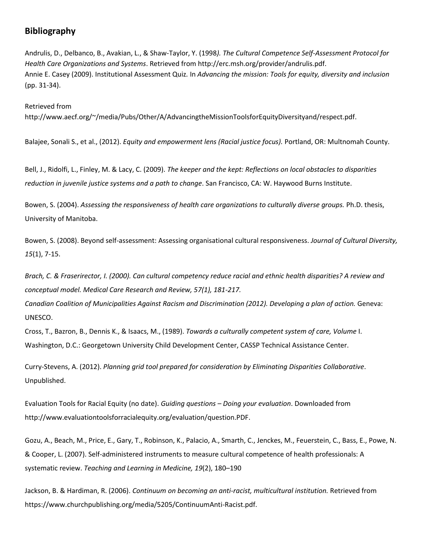# **Bibliography**

Andrulis, D., Delbanco, B., Avakian, L., & Shaw-Taylor, Y. (1998*). The Cultural Competence Self-Assessment Protocol for Health Care Organizations and Systems*. Retrieved from http://erc.msh.org/provider/andrulis.pdf. Annie E. Casey (2009). Institutional Assessment Quiz*.* In *Advancing the mission: Tools for equity, diversity and inclusion*  (pp. 31-34).

Retrieved from http://www.aecf.org/~/media/Pubs/Other/A/AdvancingtheMissionToolsforEquityDiversityand/respect.pdf.

Balajee, Sonali S., et al., (2012). *Equity and empowerment lens (Racial justice focus).* Portland, OR: Multnomah County.

Bell, J., Ridolfi, L., Finley, M. & Lacy, C. (2009). *The keeper and the kept: Reflections on local obstacles to disparities reduction in juvenile justice systems and a path to change*. San Francisco, CA: W. Haywood Burns Institute.

Bowen, S. (2004). *Assessing the responsiveness of health care organizations to culturally diverse groups.* Ph.D. thesis, University of Manitoba.

Bowen, S. (2008). Beyond self-assessment: Assessing organisational cultural responsiveness. *Journal of Cultural Diversity, 15*(1), 7-15.

*Brach, C. & Fraserirector, I. (2000). Can cultural competency reduce racial and ethnic health disparities? A review and conceptual model. Medical Care Research and Review, 57(1), 181-217.* 

*Canadian Coalition of Municipalities Against Racism and Discrimination (2012). Developing a plan of action.* Geneva: UNESCO.

Cross, T., Bazron, B., Dennis K., & Isaacs, M., (1989). *Towards a culturally competent system of care, Volume* I. Washington, D.C.: Georgetown University Child Development Center, CASSP Technical Assistance Center.

Curry-Stevens, A. (2012). *Planning grid tool prepared for consideration by Eliminating Disparities Collaborative*. Unpublished.

Evaluation Tools for Racial Equity (no date). *Guiding questions – Doing your evaluation*. Downloaded from http://www.evaluationtoolsforracialequity.org/evaluation/question.PDF.

Gozu, A., Beach, M., Price, E., Gary, T., Robinson, K., Palacio, A., Smarth, C., Jenckes, M., Feuerstein, C., Bass, E., Powe, N. & Cooper, L. (2007). Self-administered instruments to measure cultural competence of health professionals: A systematic review. *Teaching and Learning in Medicine, 19*(2), 180–190

Jackson, B. & Hardiman, R. (2006). *Continuum on becoming an anti-racist, multicultural institution.* Retrieved from https://www.churchpublishing.org/media/5205/ContinuumAnti-Racist.pdf.